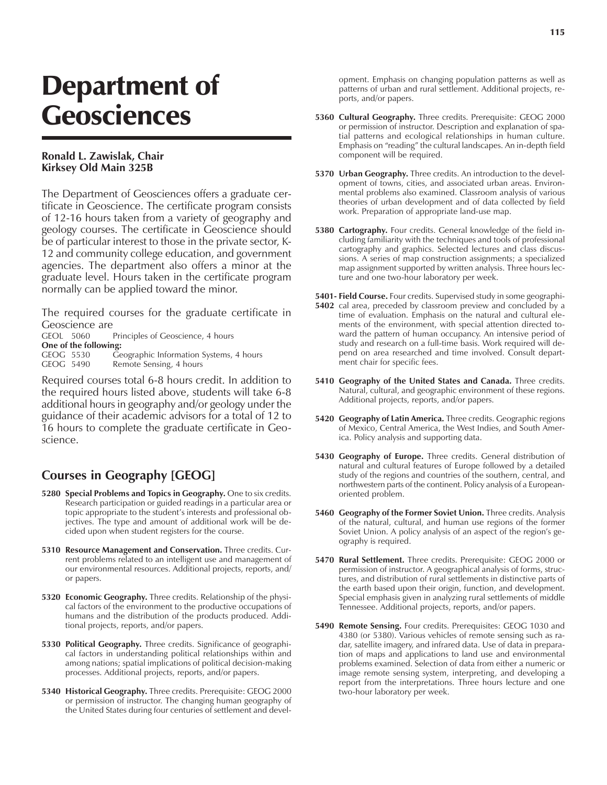## Department of **Geosciences**

## **Ronald L. Zawislak, Chair Kirksey Old Main 325B**

The Department of Geosciences offers a graduate certificate in Geoscience. The certificate program consists of 12-16 hours taken from a variety of geography and geology courses. The certificate in Geoscience should be of particular interest to those in the private sector, K-12 and community college education, and government agencies. The department also offers a minor at the graduate level. Hours taken in the certificate program normally can be applied toward the minor.

The required courses for the graduate certificate in Geoscience are

GEOL 5060 Principles of Geoscience, 4 hours **One of the following:** GEOG 5530 Geographic Information Systems, 4 hours<br>GEOG 5490 Remote Sensing, 4 hours Remote Sensing, 4 hours

Required courses total 6-8 hours credit. In addition to the required hours listed above, students will take 6-8 additional hours in geography and/or geology under the guidance of their academic advisors for a total of 12 to 16 hours to complete the graduate certificate in Geoscience.

## **Courses in Geography [GEOG]**

- **5280 Special Problems and Topics in Geography.** One to six credits. Research participation or guided readings in a particular area or topic appropriate to the student's interests and professional objectives. The type and amount of additional work will be decided upon when student registers for the course.
- **5310 Resource Management and Conservation.** Three credits. Current problems related to an intelligent use and management of our environmental resources. Additional projects, reports, and/ or papers.
- **5320 Economic Geography.** Three credits. Relationship of the physical factors of the environment to the productive occupations of humans and the distribution of the products produced. Additional projects, reports, and/or papers.
- **5330 Political Geography.** Three credits. Significance of geographical factors in understanding political relationships within and among nations; spatial implications of political decision-making processes. Additional projects, reports, and/or papers.
- **5340 Historical Geography.** Three credits. Prerequisite: GEOG 2000 or permission of instructor. The changing human geography of the United States during four centuries of settlement and devel-

opment. Emphasis on changing population patterns as well as patterns of urban and rural settlement. Additional projects, reports, and/or papers.

- **5360 Cultural Geography.** Three credits. Prerequisite: GEOG 2000 or permission of instructor. Description and explanation of spatial patterns and ecological relationships in human culture. Emphasis on "reading" the cultural landscapes. An in-depth field component will be required.
- **5370 Urban Geography.** Three credits. An introduction to the development of towns, cities, and associated urban areas. Environmental problems also examined. Classroom analysis of various theories of urban development and of data collected by field work. Preparation of appropriate land-use map.
- **5380 Cartography.** Four credits. General knowledge of the field including familiarity with the techniques and tools of professional cartography and graphics. Selected lectures and class discussions. A series of map construction assignments; a specialized map assignment supported by written analysis. Three hours lecture and one two-hour laboratory per week.
- **5401- Field Course.** Four credits. Supervised study in some geographi-**5402** cal area, preceded by classroom preview and concluded by a time of evaluation. Emphasis on the natural and cultural elements of the environment, with special attention directed toward the pattern of human occupancy. An intensive period of study and research on a full-time basis. Work required will depend on area researched and time involved. Consult department chair for specific fees.
- **5410 Geography of the United States and Canada.** Three credits. Natural, cultural, and geographic environment of these regions. Additional projects, reports, and/or papers.
- **5420 Geography of Latin America.** Three credits. Geographic regions of Mexico, Central America, the West Indies, and South America. Policy analysis and supporting data.
- **5430 Geography of Europe.** Three credits. General distribution of natural and cultural features of Europe followed by a detailed study of the regions and countries of the southern, central, and northwestern parts of the continent. Policy analysis of a Europeanoriented problem.
- **5460 Geography of the Former Soviet Union.** Three credits. Analysis of the natural, cultural, and human use regions of the former Soviet Union. A policy analysis of an aspect of the region's geography is required.
- **5470 Rural Settlement.** Three credits. Prerequisite: GEOG 2000 or permission of instructor. A geographical analysis of forms, structures, and distribution of rural settlements in distinctive parts of the earth based upon their origin, function, and development. Special emphasis given in analyzing rural settlements of middle Tennessee. Additional projects, reports, and/or papers.
- **5490 Remote Sensing.** Four credits. Prerequisites: GEOG 1030 and 4380 (or 5380). Various vehicles of remote sensing such as radar, satellite imagery, and infrared data. Use of data in preparation of maps and applications to land use and environmental problems examined. Selection of data from either a numeric or image remote sensing system, interpreting, and developing a report from the interpretations. Three hours lecture and one two-hour laboratory per week.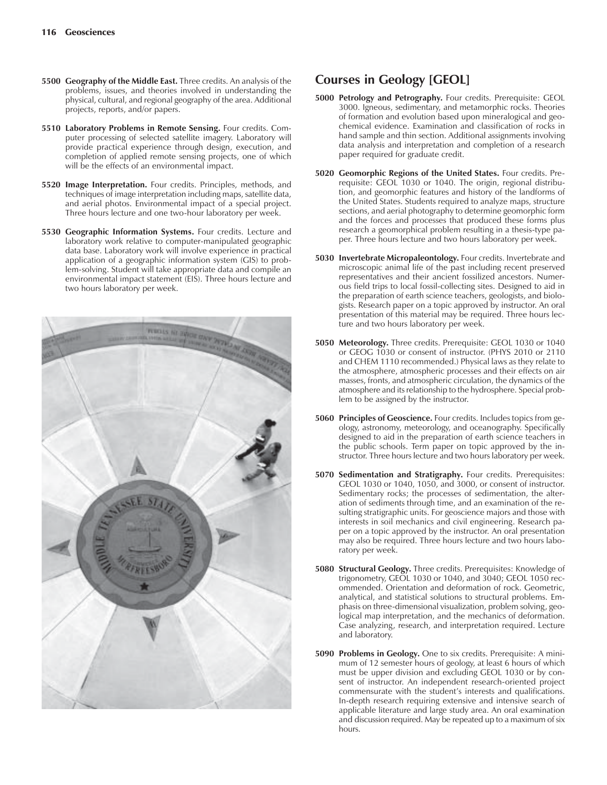- **5500 Geography of the Middle East.** Three credits. An analysis of the problems, issues, and theories involved in understanding the physical, cultural, and regional geography of the area. Additional projects, reports, and/or papers.
- **5510 Laboratory Problems in Remote Sensing.** Four credits. Computer processing of selected satellite imagery. Laboratory will provide practical experience through design, execution, and completion of applied remote sensing projects, one of which will be the effects of an environmental impact.
- **5520 Image Interpretation.** Four credits. Principles, methods, and techniques of image interpretation including maps, satellite data, and aerial photos. Environmental impact of a special project. Three hours lecture and one two-hour laboratory per week.
- **5530 Geographic Information Systems.** Four credits. Lecture and laboratory work relative to computer-manipulated geographic data base. Laboratory work will involve experience in practical application of a geographic information system (GIS) to problem-solving. Student will take appropriate data and compile an environmental impact statement (EIS). Three hours lecture and two hours laboratory per week.



## **Courses in Geology [GEOL]**

- **5000 Petrology and Petrography.** Four credits. Prerequisite: GEOL 3000. Igneous, sedimentary, and metamorphic rocks. Theories of formation and evolution based upon mineralogical and geochemical evidence. Examination and classification of rocks in hand sample and thin section. Additional assignments involving data analysis and interpretation and completion of a research paper required for graduate credit.
- **5020 Geomorphic Regions of the United States.** Four credits. Prerequisite: GEOL 1030 or 1040. The origin, regional distribution, and geomorphic features and history of the landforms of the United States. Students required to analyze maps, structure sections, and aerial photography to determine geomorphic form and the forces and processes that produced these forms plus research a geomorphical problem resulting in a thesis-type paper. Three hours lecture and two hours laboratory per week.
- **5030 Invertebrate Micropaleontology.** Four credits. Invertebrate and microscopic animal life of the past including recent preserved representatives and their ancient fossilized ancestors. Numerous field trips to local fossil-collecting sites. Designed to aid in the preparation of earth science teachers, geologists, and biologists. Research paper on a topic approved by instructor. An oral presentation of this material may be required. Three hours lecture and two hours laboratory per week.
- **5050 Meteorology.** Three credits. Prerequisite: GEOL 1030 or 1040 or GEOG 1030 or consent of instructor. (PHYS 2010 or 2110 and CHEM 1110 recommended.) Physical laws as they relate to the atmosphere, atmospheric processes and their effects on air masses, fronts, and atmospheric circulation, the dynamics of the atmosphere and its relationship to the hydrosphere. Special problem to be assigned by the instructor.
- **5060 Principles of Geoscience.** Four credits. Includes topics from geology, astronomy, meteorology, and oceanography. Specifically designed to aid in the preparation of earth science teachers in the public schools. Term paper on topic approved by the instructor. Three hours lecture and two hours laboratory per week.
- **5070 Sedimentation and Stratigraphy.** Four credits. Prerequisites: GEOL 1030 or 1040, 1050, and 3000, or consent of instructor. Sedimentary rocks; the processes of sedimentation, the alteration of sediments through time, and an examination of the resulting stratigraphic units. For geoscience majors and those with interests in soil mechanics and civil engineering. Research paper on a topic approved by the instructor. An oral presentation may also be required. Three hours lecture and two hours laboratory per week.
- **5080 Structural Geology.** Three credits. Prerequisites: Knowledge of trigonometry, GEOL 1030 or 1040, and 3040; GEOL 1050 recommended. Orientation and deformation of rock. Geometric, analytical, and statistical solutions to structural problems. Emphasis on three-dimensional visualization, problem solving, geological map interpretation, and the mechanics of deformation. Case analyzing, research, and interpretation required. Lecture and laboratory.
- **5090 Problems in Geology.** One to six credits. Prerequisite: A minimum of 12 semester hours of geology, at least 6 hours of which must be upper division and excluding GEOL 1030 or by consent of instructor. An independent research-oriented project commensurate with the student's interests and qualifications. In-depth research requiring extensive and intensive search of applicable literature and large study area. An oral examination and discussion required. May be repeated up to a maximum of six hours.